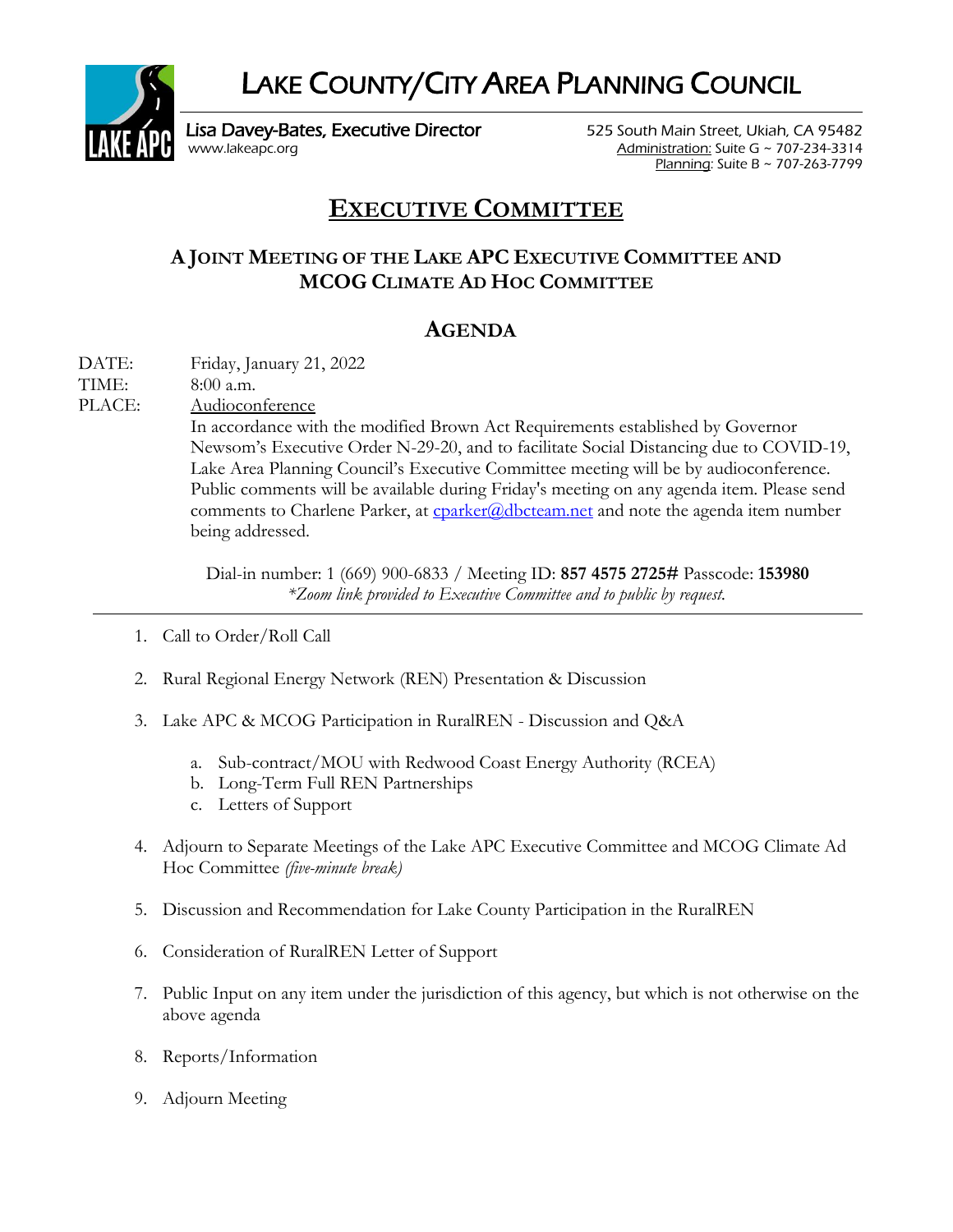LAKE COUNTY/CITY AREA PLANNING COUNCIL



Lisa Davey-Bates, Executive Director 525 South Main Street, Ukiah, CA 95482 [www.lakeapc.org](http://www.lakeapc.org/) Administration: Suite G ~ 707-234-3314

Planning: Suite B ~ 707-263-7799

## **EXECUTIVE COMMITTEE**

## **A JOINT MEETING OF THE LAKE APC EXECUTIVE COMMITTEE AND MCOG CLIMATE AD HOC COMMITTEE**

## **AGENDA**

DATE: Friday, January 21, 2022

TIME: 8:00 a.m.

PLACE: Audioconference

In accordance with the modified Brown Act Requirements established by Governor Newsom's Executive Order N-29-20, and to facilitate Social Distancing due to COVID-19, Lake Area Planning Council's Executive Committee meeting will be by audioconference. Public comments will be available during Friday's meeting on any agenda item. Please send comments to Charlene Parker, at  $c$  coarker@dbcteam.net and note the agenda item numberbeing addressed.

Dial-in number: 1 (669) 900-6833 / Meeting ID: **857 4575 2725#** Passcode: **153980**  *\*Zoom link provided to Executive Committee and to public by request.*

- 1. Call to Order/Roll Call
- 2. Rural Regional Energy Network (REN) Presentation & Discussion
- 3. Lake APC & MCOG Participation in RuralREN Discussion and Q&A
	- a. Sub-contract/MOU with Redwood Coast Energy Authority (RCEA)
	- b. Long-Term Full REN Partnerships
	- c. Letters of Support
- 4. Adjourn to Separate Meetings of the Lake APC Executive Committee and MCOG Climate Ad Hoc Committee *(five-minute break)*
- 5. Discussion and Recommendation for Lake County Participation in the RuralREN
- 6. Consideration of RuralREN Letter of Support
- 7. Public Input on any item under the jurisdiction of this agency, but which is not otherwise on the above agenda
- 8. Reports/Information
- 9. Adjourn Meeting